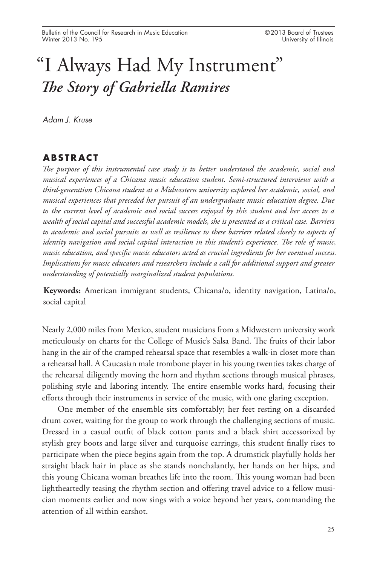# "I Always Had My Instrument" *!e Story of Gabriella Ramires*

Adam J. Kruse

# **ABSTRACT**

*!e purpose of this instrumental case study is to better understand the academic, social and musical experiences of a Chicana music education student. Semi-structured interviews with a third-generation Chicana student at a Midwestern university explored her academic, social, and musical experiences that preceded her pursuit of an undergraduate music education degree. Due to the current level of academic and social success enjoyed by this student and her access to a wealth of social capital and successful academic models, she is presented as a critical case. Barriers to academic and social pursuits as well as resilience to these barriers related closely to aspects of identity navigation and social capital interaction in this student's experience. !e role of music, music education, and specific music educators acted as crucial ingredients for her eventual success. Implications for music educators and researchers include a call for additional support and greater understanding of potentially marginalized student populations.*

**Keywords:** American immigrant students, Chicana/o, identity navigation, Latina/o, social capital

Nearly 2,000 miles from Mexico, student musicians from a Midwestern university work meticulously on charts for the College of Music's Salsa Band. The fruits of their labor hang in the air of the cramped rehearsal space that resembles a walk-in closet more than a rehearsal hall. A Caucasian male trombone player in his young twenties takes charge of the rehearsal diligently moving the horn and rhythm sections through musical phrases, polishing style and laboring intently. The entire ensemble works hard, focusing their efforts through their instruments in service of the music, with one glaring exception.

One member of the ensemble sits comfortably; her feet resting on a discarded drum cover, waiting for the group to work through the challenging sections of music. Dressed in a casual outfit of black cotton pants and a black shirt accessorized by stylish grey boots and large silver and turquoise earrings, this student finally rises to participate when the piece begins again from the top. A drumstick playfully holds her straight black hair in place as she stands nonchalantly, her hands on her hips, and this young Chicana woman breathes life into the room. This young woman had been lightheartedly teasing the rhythm section and offering travel advice to a fellow musician moments earlier and now sings with a voice beyond her years, commanding the attention of all within earshot.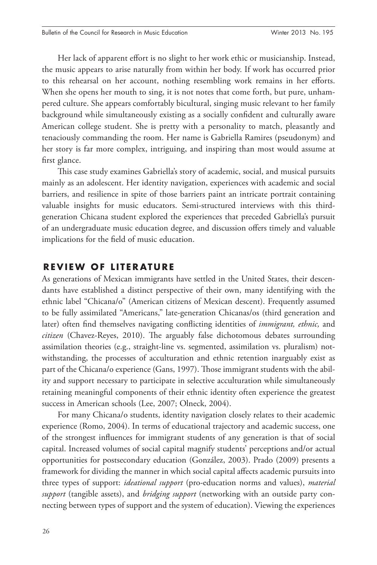Her lack of apparent effort is no slight to her work ethic or musicianship. Instead, the music appears to arise naturally from within her body. If work has occurred prior to this rehearsal on her account, nothing resembling work remains in her efforts. When she opens her mouth to sing, it is not notes that come forth, but pure, unhampered culture. She appears comfortably bicultural, singing music relevant to her family background while simultaneously existing as a socially confident and culturally aware American college student. She is pretty with a personality to match, pleasantly and tenaciously commanding the room. Her name is Gabriella Ramires (pseudonym) and her story is far more complex, intriguing, and inspiring than most would assume at first glance.

This case study examines Gabriella's story of academic, social, and musical pursuits mainly as an adolescent. Her identity navigation, experiences with academic and social barriers, and resilience in spite of those barriers paint an intricate portrait containing valuable insights for music educators. Semi-structured interviews with this thirdgeneration Chicana student explored the experiences that preceded Gabriella's pursuit of an undergraduate music education degree, and discussion offers timely and valuable implications for the field of music education.

### **REVIEW OF LITERATURE**

As generations of Mexican immigrants have settled in the United States, their descendants have established a distinct perspective of their own, many identifying with the ethnic label "Chicana/o" (American citizens of Mexican descent). Frequently assumed to be fully assimilated "Americans," late-generation Chicanas/os (third generation and later) often find themselves navigating conflicting identities of *immigrant, ethnic,* and *citizen* (Chavez-Reyes, 2010). The arguably false dichotomous debates surrounding assimilation theories (e.g., straight-line vs. segmented, assimilation vs. pluralism) notwithstanding, the processes of acculturation and ethnic retention inarguably exist as part of the Chicana/o experience (Gans, 1997). Those immigrant students with the ability and support necessary to participate in selective acculturation while simultaneously retaining meaningful components of their ethnic identity often experience the greatest success in American schools (Lee, 2007; Olneck, 2004).

For many Chicana/o students, identity navigation closely relates to their academic experience (Romo, 2004). In terms of educational trajectory and academic success, one of the strongest influences for immigrant students of any generation is that of social capital. Increased volumes of social capital magnify students' perceptions and/or actual opportunities for postsecondary education (González, 2003). Prado (2009) presents a framework for dividing the manner in which social capital affects academic pursuits into three types of support: *ideational support* (pro-education norms and values), *material support* (tangible assets), and *bridging support* (networking with an outside party connecting between types of support and the system of education). Viewing the experiences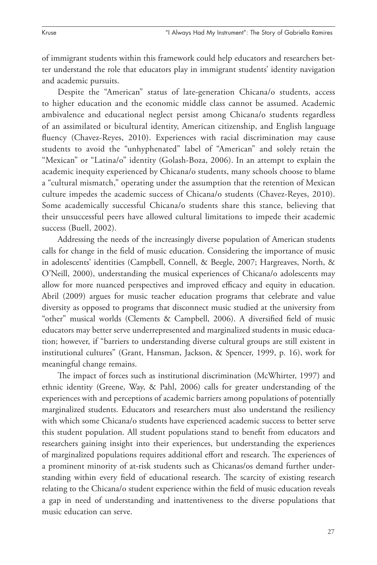of immigrant students within this framework could help educators and researchers better understand the role that educators play in immigrant students' identity navigation and academic pursuits.

Despite the "American" status of late-generation Chicana/o students, access to higher education and the economic middle class cannot be assumed. Academic ambivalence and educational neglect persist among Chicana/o students regardless of an assimilated or bicultural identity, American citizenship, and English language fluency (Chavez-Reyes, 2010). Experiences with racial discrimination may cause students to avoid the "unhyphenated" label of "American" and solely retain the "Mexican" or "Latina/o" identity (Golash-Boza, 2006). In an attempt to explain the academic inequity experienced by Chicana/o students, many schools choose to blame a "cultural mismatch," operating under the assumption that the retention of Mexican culture impedes the academic success of Chicana/o students (Chavez-Reyes, 2010). Some academically successful Chicana/o students share this stance, believing that their unsuccessful peers have allowed cultural limitations to impede their academic success (Buell, 2002).

Addressing the needs of the increasingly diverse population of American students calls for change in the field of music education. Considering the importance of music in adolescents' identities (Campbell, Connell, & Beegle, 2007; Hargreaves, North, & O'Neill, 2000), understanding the musical experiences of Chicana/o adolescents may allow for more nuanced perspectives and improved efficacy and equity in education. Abril (2009) argues for music teacher education programs that celebrate and value diversity as opposed to programs that disconnect music studied at the university from "other" musical worlds (Clements & Campbell, 2006). A diversified field of music educators may better serve underrepresented and marginalized students in music education; however, if "barriers to understanding diverse cultural groups are still existent in institutional cultures" (Grant, Hansman, Jackson, & Spencer, 1999, p. 16), work for meaningful change remains.

The impact of forces such as institutional discrimination (McWhirter, 1997) and ethnic identity (Greene, Way, & Pahl, 2006) calls for greater understanding of the experiences with and perceptions of academic barriers among populations of potentially marginalized students. Educators and researchers must also understand the resiliency with which some Chicana/o students have experienced academic success to better serve this student population. All student populations stand to benefit from educators and researchers gaining insight into their experiences, but understanding the experiences of marginalized populations requires additional effort and research. The experiences of a prominent minority of at-risk students such as Chicanas/os demand further understanding within every field of educational research. The scarcity of existing research relating to the Chicana/o student experience within the field of music education reveals a gap in need of understanding and inattentiveness to the diverse populations that music education can serve.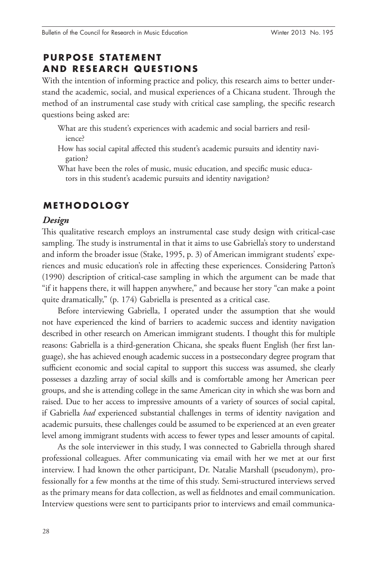# **PURPOSE STATEMENT AND RESEARCH QUESTIONS**

With the intention of informing practice and policy, this research aims to better understand the academic, social, and musical experiences of a Chicana student. Through the method of an instrumental case study with critical case sampling, the specific research questions being asked are:

- What are this student's experiences with academic and social barriers and resilience?
- How has social capital affected this student's academic pursuits and identity navigation?
- What have been the roles of music, music education, and specific music educators in this student's academic pursuits and identity navigation?

# **METHODOLOGY**

#### *Design*

This qualitative research employs an instrumental case study design with critical-case sampling. The study is instrumental in that it aims to use Gabriella's story to understand and inform the broader issue (Stake, 1995, p. 3) of American immigrant students' experiences and music education's role in affecting these experiences. Considering Patton's (1990) description of critical-case sampling in which the argument can be made that "if it happens there, it will happen anywhere," and because her story "can make a point quite dramatically," (p. 174) Gabriella is presented as a critical case.

Before interviewing Gabriella, I operated under the assumption that she would not have experienced the kind of barriers to academic success and identity navigation described in other research on American immigrant students. I thought this for multiple reasons: Gabriella is a third-generation Chicana, she speaks fluent English (her first language), she has achieved enough academic success in a postsecondary degree program that sufficient economic and social capital to support this success was assumed, she clearly possesses a dazzling array of social skills and is comfortable among her American peer groups, and she is attending college in the same American city in which she was born and raised. Due to her access to impressive amounts of a variety of sources of social capital, if Gabriella *had* experienced substantial challenges in terms of identity navigation and academic pursuits, these challenges could be assumed to be experienced at an even greater level among immigrant students with access to fewer types and lesser amounts of capital.

As the sole interviewer in this study, I was connected to Gabriella through shared professional colleagues. After communicating via email with her we met at our first interview. I had known the other participant, Dr. Natalie Marshall (pseudonym), professionally for a few months at the time of this study. Semi-structured interviews served as the primary means for data collection, as well as fieldnotes and email communication. Interview questions were sent to participants prior to interviews and email communica-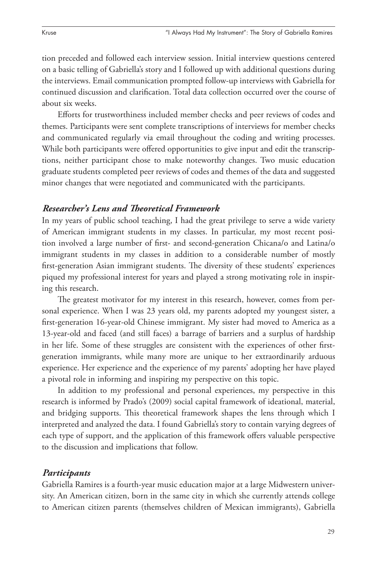tion preceded and followed each interview session. Initial interview questions centered on a basic telling of Gabriella's story and I followed up with additional questions during the interviews. Email communication prompted follow-up interviews with Gabriella for continued discussion and clarification. Total data collection occurred over the course of about six weeks.

Efforts for trustworthiness included member checks and peer reviews of codes and themes. Participants were sent complete transcriptions of interviews for member checks and communicated regularly via email throughout the coding and writing processes. While both participants were offered opportunities to give input and edit the transcriptions, neither participant chose to make noteworthy changes. Two music education graduate students completed peer reviews of codes and themes of the data and suggested minor changes that were negotiated and communicated with the participants.

#### *Researcher's Lens and !eoretical Framework*

In my years of public school teaching, I had the great privilege to serve a wide variety of American immigrant students in my classes. In particular, my most recent position involved a large number of first- and second-generation Chicana/o and Latina/o immigrant students in my classes in addition to a considerable number of mostly first-generation Asian immigrant students. The diversity of these students' experiences piqued my professional interest for years and played a strong motivating role in inspiring this research.

The greatest motivator for my interest in this research, however, comes from personal experience. When I was 23 years old, my parents adopted my youngest sister, a first-generation 16-year-old Chinese immigrant. My sister had moved to America as a 13-year-old and faced (and still faces) a barrage of barriers and a surplus of hardship in her life. Some of these struggles are consistent with the experiences of other firstgeneration immigrants, while many more are unique to her extraordinarily arduous experience. Her experience and the experience of my parents' adopting her have played a pivotal role in informing and inspiring my perspective on this topic.

In addition to my professional and personal experiences, my perspective in this research is informed by Prado's (2009) social capital framework of ideational, material, and bridging supports. This theoretical framework shapes the lens through which I interpreted and analyzed the data. I found Gabriella's story to contain varying degrees of each type of support, and the application of this framework offers valuable perspective to the discussion and implications that follow.

#### *Participants*

Gabriella Ramires is a fourth-year music education major at a large Midwestern university. An American citizen, born in the same city in which she currently attends college to American citizen parents (themselves children of Mexican immigrants), Gabriella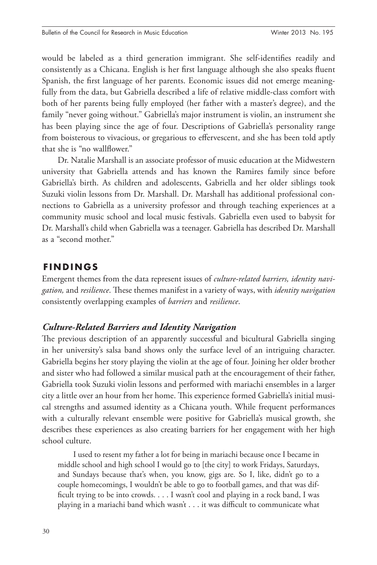would be labeled as a third generation immigrant. She self-identifies readily and consistently as a Chicana. English is her first language although she also speaks fluent Spanish, the first language of her parents. Economic issues did not emerge meaningfully from the data, but Gabriella described a life of relative middle-class comfort with both of her parents being fully employed (her father with a master's degree), and the family "never going without." Gabriella's major instrument is violin, an instrument she has been playing since the age of four. Descriptions of Gabriella's personality range from boisterous to vivacious, or gregarious to effervescent, and she has been told aptly that she is "no wallflower."

Dr. Natalie Marshall is an associate professor of music education at the Midwestern university that Gabriella attends and has known the Ramires family since before Gabriella's birth. As children and adolescents, Gabriella and her older siblings took Suzuki violin lessons from Dr. Marshall. Dr. Marshall has additional professional connections to Gabriella as a university professor and through teaching experiences at a community music school and local music festivals. Gabriella even used to babysit for Dr. Marshall's child when Gabriella was a teenager. Gabriella has described Dr. Marshall as a "second mother."

### **FINDINGS**

Emergent themes from the data represent issues of *culture-related barriers, identity navigation,* and *resilience*. These themes manifest in a variety of ways, with *identity navigation* consistently overlapping examples of *barriers* and *resilience*.

#### *Culture-Related Barriers and Identity Navigation*

The previous description of an apparently successful and bicultural Gabriella singing in her university's salsa band shows only the surface level of an intriguing character. Gabriella begins her story playing the violin at the age of four. Joining her older brother and sister who had followed a similar musical path at the encouragement of their father, Gabriella took Suzuki violin lessons and performed with mariachi ensembles in a larger city a little over an hour from her home. This experience formed Gabriella's initial musical strengths and assumed identity as a Chicana youth. While frequent performances with a culturally relevant ensemble were positive for Gabriella's musical growth, she describes these experiences as also creating barriers for her engagement with her high school culture.

I used to resent my father a lot for being in mariachi because once I became in middle school and high school I would go to [the city] to work Fridays, Saturdays, and Sundays because that's when, you know, gigs are. So I, like, didn't go to a couple homecomings, I wouldn't be able to go to football games, and that was difficult trying to be into crowds. . . . I wasn't cool and playing in a rock band, I was playing in a mariachi band which wasn't . . . it was difficult to communicate what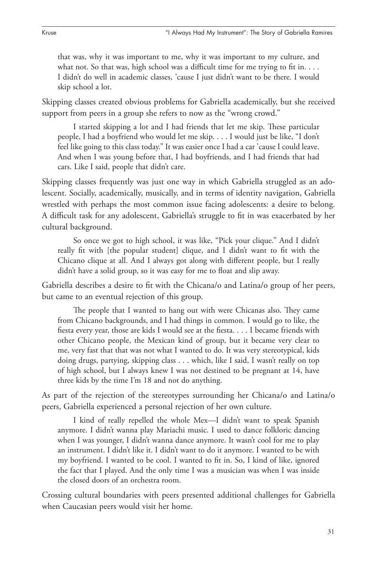that was, why it was important to me, why it was important to my culture, and what not. So that was, high school was a difficult time for me trying to fit in. . . . I didn't do well in academic classes, 'cause I just didn't want to be there. I would skip school a lot.

Skipping classes created obvious problems for Gabriella academically, but she received support from peers in a group she refers to now as the "wrong crowd."

I started skipping a lot and I had friends that let me skip. These particular people, I had a boyfriend who would let me skip. . . . I would just be like, "I don't feel like going to this class today." It was easier once I had a car 'cause I could leave. And when I was young before that, I had boyfriends, and I had friends that had cars. Like I said, people that didn't care.

Skipping classes frequently was just one way in which Gabriella struggled as an adolescent. Socially, academically, musically, and in terms of identity navigation, Gabriella wrestled with perhaps the most common issue facing adolescents: a desire to belong. A difficult task for any adolescent, Gabriella's struggle to fit in was exacerbated by her cultural background.

So once we got to high school, it was like, "Pick your clique." And I didn't really fit with [the popular student] clique, and I didn't want to fit with the Chicano clique at all. And I always got along with different people, but I really didn't have a solid group, so it was easy for me to float and slip away.

Gabriella describes a desire to fit with the Chicana/o and Latina/o group of her peers, but came to an eventual rejection of this group.

The people that I wanted to hang out with were Chicanas also. They came from Chicano backgrounds, and I had things in common. I would go to like, the fiesta every year, those are kids I would see at the fiesta. . . . I became friends with other Chicano people, the Mexican kind of group, but it became very clear to me, very fast that that was not what I wanted to do. It was very stereotypical, kids doing drugs, partying, skipping class . . . which, like I said, I wasn't really on top of high school, but I always knew I was not destined to be pregnant at 14, have three kids by the time I'm 18 and not do anything.

As part of the rejection of the stereotypes surrounding her Chicana/o and Latina/o peers, Gabriella experienced a personal rejection of her own culture.

I kind of really repelled the whole Mex—I didn't want to speak Spanish anymore. I didn't wanna play Mariachi music. I used to dance folkloric dancing when I was younger, I didn't wanna dance anymore. It wasn't cool for me to play an instrument. I didn't like it. I didn't want to do it anymore. I wanted to be with my boyfriend. I wanted to be cool. I wanted to fit in. So, I kind of like, ignored the fact that I played. And the only time I was a musician was when I was inside the closed doors of an orchestra room.

Crossing cultural boundaries with peers presented additional challenges for Gabriella when Caucasian peers would visit her home.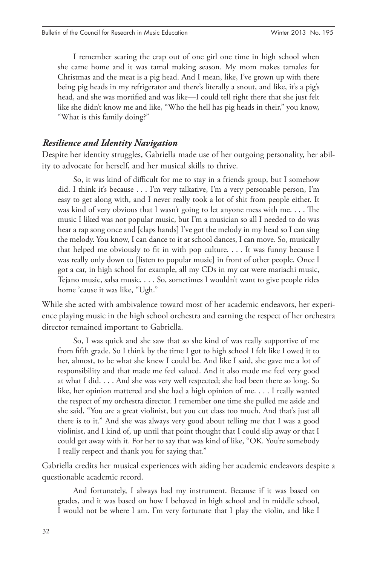I remember scaring the crap out of one girl one time in high school when she came home and it was tamal making season. My mom makes tamales for Christmas and the meat is a pig head. And I mean, like, I've grown up with there being pig heads in my refrigerator and there's literally a snout, and like, it's a pig's head, and she was mortified and was like—I could tell right there that she just felt like she didn't know me and like, "Who the hell has pig heads in their," you know, "What is this family doing?"

#### *Resilience and Identity Navigation*

Despite her identity struggles, Gabriella made use of her outgoing personality, her ability to advocate for herself, and her musical skills to thrive.

So, it was kind of difficult for me to stay in a friends group, but I somehow did. I think it's because . . . I'm very talkative, I'm a very personable person, I'm easy to get along with, and I never really took a lot of shit from people either. It was kind of very obvious that I wasn't going to let anyone mess with me.  $\dots$  The music I liked was not popular music, but I'm a musician so all I needed to do was hear a rap song once and [claps hands] I've got the melody in my head so I can sing the melody. You know, I can dance to it at school dances, I can move. So, musically that helped me obviously to fit in with pop culture. . . . It was funny because I was really only down to [listen to popular music] in front of other people. Once I got a car, in high school for example, all my CDs in my car were mariachi music, Tejano music, salsa music. . . . So, sometimes I wouldn't want to give people rides home 'cause it was like, "Ugh."

While she acted with ambivalence toward most of her academic endeavors, her experience playing music in the high school orchestra and earning the respect of her orchestra director remained important to Gabriella.

So, I was quick and she saw that so she kind of was really supportive of me from fifth grade. So I think by the time I got to high school I felt like I owed it to her, almost, to be what she knew I could be. And like I said, she gave me a lot of responsibility and that made me feel valued. And it also made me feel very good at what I did. . . . And she was very well respected; she had been there so long. So like, her opinion mattered and she had a high opinion of me. . . . I really wanted the respect of my orchestra director. I remember one time she pulled me aside and she said, "You are a great violinist, but you cut class too much. And that's just all there is to it." And she was always very good about telling me that I was a good violinist, and I kind of, up until that point thought that I could slip away or that I could get away with it. For her to say that was kind of like, "OK. You're somebody I really respect and thank you for saying that."

Gabriella credits her musical experiences with aiding her academic endeavors despite a questionable academic record.

And fortunately, I always had my instrument. Because if it was based on grades, and it was based on how I behaved in high school and in middle school, I would not be where I am. I'm very fortunate that I play the violin, and like I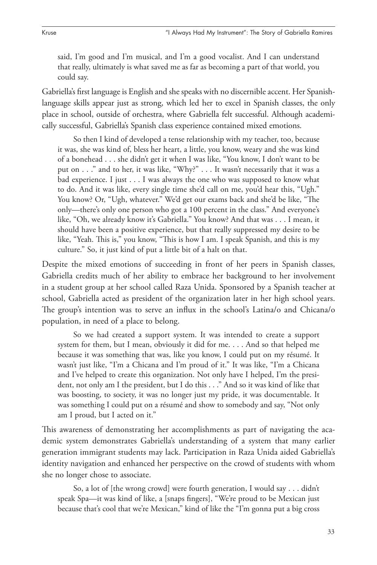said, I'm good and I'm musical, and I'm a good vocalist. And I can understand that really, ultimately is what saved me as far as becoming a part of that world, you could say.

Gabriella's first language is English and she speaks with no discernible accent. Her Spanishlanguage skills appear just as strong, which led her to excel in Spanish classes, the only place in school, outside of orchestra, where Gabriella felt successful. Although academically successful, Gabriella's Spanish class experience contained mixed emotions.

So then I kind of developed a tense relationship with my teacher, too, because it was, she was kind of, bless her heart, a little, you know, weary and she was kind of a bonehead . . . she didn't get it when I was like, "You know, I don't want to be put on . . ." and to her, it was like, "Why?" . . . It wasn't necessarily that it was a bad experience. I just . . . I was always the one who was supposed to know what to do. And it was like, every single time she'd call on me, you'd hear this, "Ugh." You know? Or, "Ugh, whatever." We'd get our exams back and she'd be like, "The only—there's only one person who got a 100 percent in the class." And everyone's like, "Oh, we already know it's Gabriella." You know? And that was . . . I mean, it should have been a positive experience, but that really suppressed my desire to be like, "Yeah. This is," you know, "This is how I am. I speak Spanish, and this is my culture." So, it just kind of put a little bit of a halt on that.

Despite the mixed emotions of succeeding in front of her peers in Spanish classes, Gabriella credits much of her ability to embrace her background to her involvement in a student group at her school called Raza Unida. Sponsored by a Spanish teacher at school, Gabriella acted as president of the organization later in her high school years. The group's intention was to serve an influx in the school's Latina/o and Chicana/o population, in need of a place to belong.

So we had created a support system. It was intended to create a support system for them, but I mean, obviously it did for me. . . . And so that helped me because it was something that was, like you know, I could put on my résumé. It wasn't just like, "I'm a Chicana and I'm proud of it." It was like, "I'm a Chicana and I've helped to create this organization. Not only have I helped, I'm the president, not only am I the president, but I do this . . ." And so it was kind of like that was boosting, to society, it was no longer just my pride, it was documentable. It was something I could put on a résumé and show to somebody and say, "Not only am I proud, but I acted on it."

This awareness of demonstrating her accomplishments as part of navigating the academic system demonstrates Gabriella's understanding of a system that many earlier generation immigrant students may lack. Participation in Raza Unida aided Gabriella's identity navigation and enhanced her perspective on the crowd of students with whom she no longer chose to associate.

So, a lot of [the wrong crowd] were fourth generation, I would say . . . didn't speak Spa—it was kind of like, a [snaps fingers], "We're proud to be Mexican just because that's cool that we're Mexican," kind of like the "I'm gonna put a big cross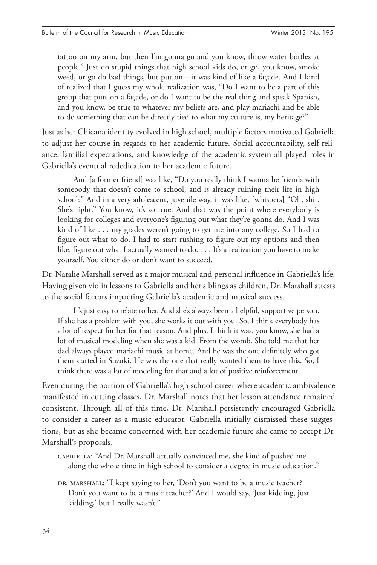tattoo on my arm, but then I'm gonna go and you know, throw water bottles at people." Just do stupid things that high school kids do, or go, you know, smoke weed, or go do bad things, but put on—it was kind of like a façade. And I kind of realized that I guess my whole realization was, "Do I want to be a part of this group that puts on a façade, or do I want to be the real thing and speak Spanish, and you know, be true to whatever my beliefs are, and play mariachi and be able to do something that can be directly tied to what my culture is, my heritage?"

Just as her Chicana identity evolved in high school, multiple factors motivated Gabriella to adjust her course in regards to her academic future. Social accountability, self-reliance, familial expectations, and knowledge of the academic system all played roles in Gabriella's eventual rededication to her academic future.

And [a former friend] was like, "Do you really think I wanna be friends with somebody that doesn't come to school, and is already ruining their life in high school?" And in a very adolescent, juvenile way, it was like, [whispers] "Oh, shit. She's right." You know, it's so true. And that was the point where everybody is looking for colleges and everyone's figuring out what they're gonna do. And I was kind of like . . . my grades weren't going to get me into any college. So I had to figure out what to do. I had to start rushing to figure out my options and then like, figure out what I actually wanted to do. . . . It's a realization you have to make yourself. You either do or don't want to succeed.

Dr. Natalie Marshall served as a major musical and personal influence in Gabriella's life. Having given violin lessons to Gabriella and her siblings as children, Dr. Marshall attests to the social factors impacting Gabriella's academic and musical success.

It's just easy to relate to her. And she's always been a helpful, supportive person. If she has a problem with you, she works it out with you. So, I think everybody has a lot of respect for her for that reason. And plus, I think it was, you know, she had a lot of musical modeling when she was a kid. From the womb. She told me that her dad always played mariachi music at home. And he was the one definitely who got them started in Suzuki. He was the one that really wanted them to have this. So, I think there was a lot of modeling for that and a lot of positive reinforcement.

Even during the portion of Gabriella's high school career where academic ambivalence manifested in cutting classes, Dr. Marshall notes that her lesson attendance remained consistent. Through all of this time, Dr. Marshall persistently encouraged Gabriella to consider a career as a music educator. Gabriella initially dismissed these suggestions, but as she became concerned with her academic future she came to accept Dr. Marshall's proposals.

: "And Dr. Marshall actually convinced me, she kind of pushed me along the whole time in high school to consider a degree in music education."

DR. MARSHALL: "I kept saying to her, 'Don't you want to be a music teacher? Don't you want to be a music teacher?' And I would say, 'Just kidding, just kidding,' but I really wasn't."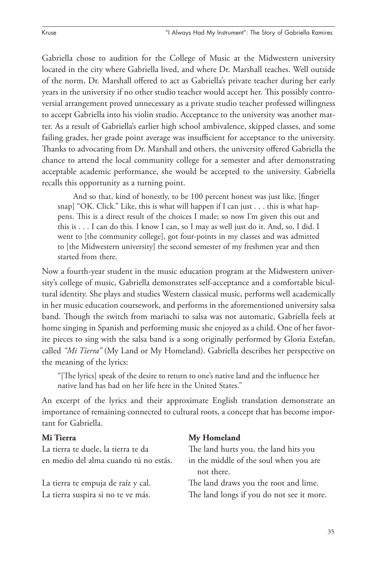Gabriella chose to audition for the College of Music at the Midwestern university located in the city where Gabriella lived, and where Dr. Marshall teaches. Well outside of the norm, Dr. Marshall offered to act as Gabriella's private teacher during her early years in the university if no other studio teacher would accept her. This possibly controversial arrangement proved unnecessary as a private studio teacher professed willingness to accept Gabriella into his violin studio. Acceptance to the university was another matter. As a result of Gabriella's earlier high school ambivalence, skipped classes, and some failing grades, her grade point average was insufficient for acceptance to the university. Thanks to advocating from Dr. Marshall and others, the university offered Gabriella the chance to attend the local community college for a semester and after demonstrating acceptable academic performance, she would be accepted to the university. Gabriella recalls this opportunity as a turning point.

And so that, kind of honestly, to be 100 percent honest was just like, [finger snap] "OK. Click." Like, this is what will happen if I can just . . . this is what happens. This is a direct result of the choices I made; so now I'm given this out and this is . . . I can do this. I know I can, so I may as well just do it. And, so, I did. I went to [the community college], got four-points in my classes and was admitted to [the Midwestern university] the second semester of my freshmen year and then started from there.

Now a fourth-year student in the music education program at the Midwestern university's college of music, Gabriella demonstrates self-acceptance and a comfortable bicultural identity. She plays and studies Western classical music, performs well academically in her music education coursework, and performs in the aforementioned university salsa band. Though the switch from mariachi to salsa was not automatic, Gabriella feels at home singing in Spanish and performing music she enjoyed as a child. One of her favorite pieces to sing with the salsa band is a song originally performed by Gloria Estefan, called *"Mi Tierra"* (My Land or My Homeland). Gabriella describes her perspective on the meaning of the lyrics:

"[The lyrics] speak of the desire to return to one's native land and the influence her native land has had on her life here in the United States."

An excerpt of the lyrics and their approximate English translation demonstrate an importance of remaining connected to cultural roots, a concept that has become important for Gabriella.

La tierra suspira si no te ve más. Ihe land longs if you do not see it more.

#### **Mi Tierra My Homeland**

La tierra te duele, la tierra te da Ihe land hurts you, the land hits you en medio del alma cuando tú no estás. in the middle of the soul when you are not there. La tierra te empuja de raíz y cal. Ihe land draws you the root and lime.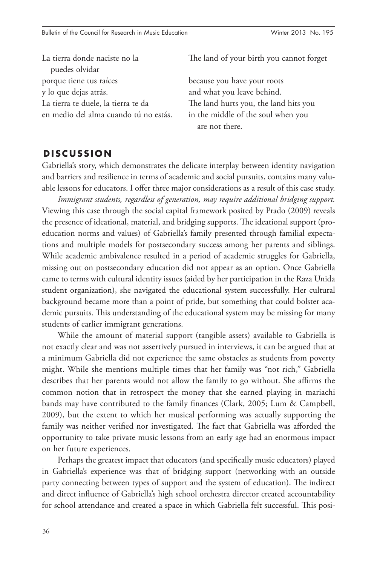| La tierra donde naciste no la         | The land of your birth you cannot forget |
|---------------------------------------|------------------------------------------|
| puedes olvidar                        |                                          |
| porque tiene tus raíces               | because you have your roots              |
| y lo que dejas atrás.                 | and what you leave behind.               |
| La tierra te duele, la tierra te da   | The land hurts you, the land hits you    |
| en medio del alma cuando tú no estás. | in the middle of the soul when you       |
|                                       | are not there.                           |

#### **DISCUSSION**

Gabriella's story, which demonstrates the delicate interplay between identity navigation and barriers and resilience in terms of academic and social pursuits, contains many valuable lessons for educators. I offer three major considerations as a result of this case study.

*Immigrant students, regardless of generation, may require additional bridging support.*  Viewing this case through the social capital framework posited by Prado (2009) reveals the presence of ideational, material, and bridging supports. The ideational support (proeducation norms and values) of Gabriella's family presented through familial expectations and multiple models for postsecondary success among her parents and siblings. While academic ambivalence resulted in a period of academic struggles for Gabriella, missing out on postsecondary education did not appear as an option. Once Gabriella came to terms with cultural identity issues (aided by her participation in the Raza Unida student organization), she navigated the educational system successfully. Her cultural background became more than a point of pride, but something that could bolster academic pursuits. This understanding of the educational system may be missing for many students of earlier immigrant generations.

While the amount of material support (tangible assets) available to Gabriella is not exactly clear and was not assertively pursued in interviews, it can be argued that at a minimum Gabriella did not experience the same obstacles as students from poverty might. While she mentions multiple times that her family was "not rich," Gabriella describes that her parents would not allow the family to go without. She affirms the common notion that in retrospect the money that she earned playing in mariachi bands may have contributed to the family finances (Clark, 2005; Lum & Campbell, 2009), but the extent to which her musical performing was actually supporting the family was neither verified nor investigated. The fact that Gabriella was afforded the opportunity to take private music lessons from an early age had an enormous impact on her future experiences.

Perhaps the greatest impact that educators (and specifically music educators) played in Gabriella's experience was that of bridging support (networking with an outside party connecting between types of support and the system of education). The indirect and direct influence of Gabriella's high school orchestra director created accountability for school attendance and created a space in which Gabriella felt successful. This posi-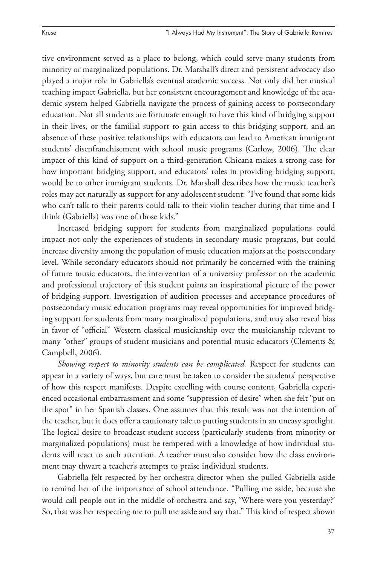tive environment served as a place to belong, which could serve many students from minority or marginalized populations. Dr. Marshall's direct and persistent advocacy also played a major role in Gabriella's eventual academic success. Not only did her musical teaching impact Gabriella, but her consistent encouragement and knowledge of the academic system helped Gabriella navigate the process of gaining access to postsecondary education. Not all students are fortunate enough to have this kind of bridging support in their lives, or the familial support to gain access to this bridging support, and an absence of these positive relationships with educators can lead to American immigrant students' disenfranchisement with school music programs (Carlow, 2006). The clear impact of this kind of support on a third-generation Chicana makes a strong case for how important bridging support, and educators' roles in providing bridging support, would be to other immigrant students. Dr. Marshall describes how the music teacher's roles may act naturally as support for any adolescent student: "I've found that some kids who can't talk to their parents could talk to their violin teacher during that time and I think (Gabriella) was one of those kids."

Increased bridging support for students from marginalized populations could impact not only the experiences of students in secondary music programs, but could increase diversity among the population of music education majors at the postsecondary level. While secondary educators should not primarily be concerned with the training of future music educators, the intervention of a university professor on the academic and professional trajectory of this student paints an inspirational picture of the power of bridging support. Investigation of audition processes and acceptance procedures of postsecondary music education programs may reveal opportunities for improved bridging support for students from many marginalized populations, and may also reveal bias in favor of "official" Western classical musicianship over the musicianship relevant to many "other" groups of student musicians and potential music educators (Clements & Campbell, 2006).

*Showing respect to minority students can be complicated.* Respect for students can appear in a variety of ways, but care must be taken to consider the students' perspective of how this respect manifests. Despite excelling with course content, Gabriella experienced occasional embarrassment and some "suppression of desire" when she felt "put on the spot" in her Spanish classes. One assumes that this result was not the intention of the teacher, but it does offer a cautionary tale to putting students in an uneasy spotlight. The logical desire to broadcast student success (particularly students from minority or marginalized populations) must be tempered with a knowledge of how individual students will react to such attention. A teacher must also consider how the class environment may thwart a teacher's attempts to praise individual students.

Gabriella felt respected by her orchestra director when she pulled Gabriella aside to remind her of the importance of school attendance. "Pulling me aside, because she would call people out in the middle of orchestra and say, 'Where were you yesterday?' So, that was her respecting me to pull me aside and say that." This kind of respect shown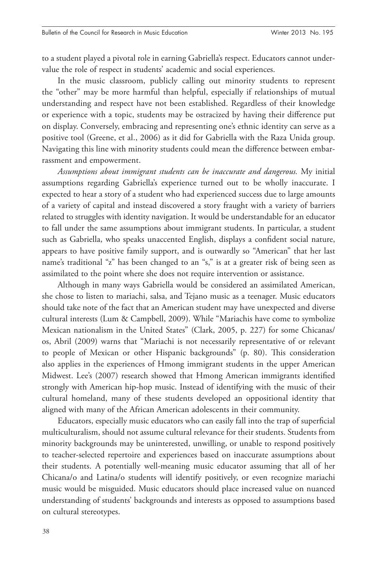to a student played a pivotal role in earning Gabriella's respect. Educators cannot undervalue the role of respect in students' academic and social experiences.

In the music classroom, publicly calling out minority students to represent the "other" may be more harmful than helpful, especially if relationships of mutual understanding and respect have not been established. Regardless of their knowledge or experience with a topic, students may be ostracized by having their difference put on display. Conversely, embracing and representing one's ethnic identity can serve as a positive tool (Greene, et al., 2006) as it did for Gabriella with the Raza Unida group. Navigating this line with minority students could mean the difference between embarrassment and empowerment.

*Assumptions about immigrant students can be inaccurate and dangerous.* My initial assumptions regarding Gabriella's experience turned out to be wholly inaccurate. I expected to hear a story of a student who had experienced success due to large amounts of a variety of capital and instead discovered a story fraught with a variety of barriers related to struggles with identity navigation. It would be understandable for an educator to fall under the same assumptions about immigrant students. In particular, a student such as Gabriella, who speaks unaccented English, displays a confident social nature, appears to have positive family support, and is outwardly so "American" that her last name's traditional "z" has been changed to an "s," is at a greater risk of being seen as assimilated to the point where she does not require intervention or assistance.

Although in many ways Gabriella would be considered an assimilated American, she chose to listen to mariachi, salsa, and Tejano music as a teenager. Music educators should take note of the fact that an American student may have unexpected and diverse cultural interests (Lum & Campbell, 2009). While "Mariachis have come to symbolize Mexican nationalism in the United States" (Clark, 2005, p. 227) for some Chicanas/ os, Abril (2009) warns that "Mariachi is not necessarily representative of or relevant to people of Mexican or other Hispanic backgrounds" (p. 80). This consideration also applies in the experiences of Hmong immigrant students in the upper American Midwest. Lee's (2007) research showed that Hmong American immigrants identified strongly with American hip-hop music. Instead of identifying with the music of their cultural homeland, many of these students developed an oppositional identity that aligned with many of the African American adolescents in their community.

Educators, especially music educators who can easily fall into the trap of superficial multiculturalism, should not assume cultural relevance for their students. Students from minority backgrounds may be uninterested, unwilling, or unable to respond positively to teacher-selected repertoire and experiences based on inaccurate assumptions about their students. A potentially well-meaning music educator assuming that all of her Chicana/o and Latina/o students will identify positively, or even recognize mariachi music would be misguided. Music educators should place increased value on nuanced understanding of students' backgrounds and interests as opposed to assumptions based on cultural stereotypes.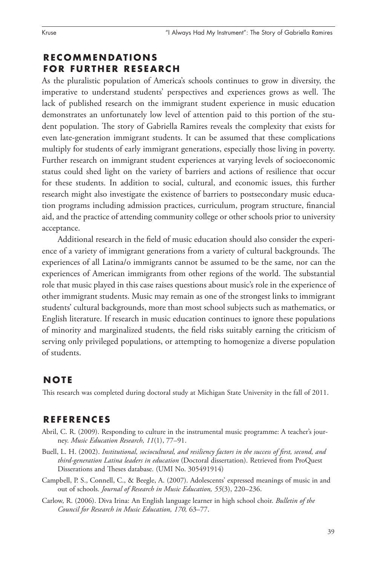# **R E COM M E N DAT I O N S FOR FURTHER RESEARCH**

As the pluralistic population of America's schools continues to grow in diversity, the imperative to understand students' perspectives and experiences grows as well. The lack of published research on the immigrant student experience in music education demonstrates an unfortunately low level of attention paid to this portion of the student population. The story of Gabriella Ramires reveals the complexity that exists for even late-generation immigrant students. It can be assumed that these complications multiply for students of early immigrant generations, especially those living in poverty. Further research on immigrant student experiences at varying levels of socioeconomic status could shed light on the variety of barriers and actions of resilience that occur for these students. In addition to social, cultural, and economic issues, this further research might also investigate the existence of barriers to postsecondary music education programs including admission practices, curriculum, program structure, financial aid, and the practice of attending community college or other schools prior to university acceptance.

Additional research in the field of music education should also consider the experience of a variety of immigrant generations from a variety of cultural backgrounds. The experiences of all Latina/o immigrants cannot be assumed to be the same, nor can the experiences of American immigrants from other regions of the world. The substantial role that music played in this case raises questions about music's role in the experience of other immigrant students. Music may remain as one of the strongest links to immigrant students' cultural backgrounds, more than most school subjects such as mathematics, or English literature. If research in music education continues to ignore these populations of minority and marginalized students, the field risks suitably earning the criticism of serving only privileged populations, or attempting to homogenize a diverse population of students.

# **NOTE**

This research was completed during doctoral study at Michigan State University in the fall of 2011.

### **REFERENCES**

- Abril, C. R. (2009). Responding to culture in the instrumental music programme: A teacher's journey. *Music Education Research, 11*(1), 77–91.
- Buell, L. H. (2002). *Institutional, sociocultural, and resiliency factors in the success of first, second, and third-generation Latina leaders in education* (Doctoral dissertation). Retrieved from ProQuest Disserations and Theses database. (UMI No. 305491914)
- Campbell, P. S., Connell, C., & Beegle, A. (2007). Adolescents' expressed meanings of music in and out of schools. *Journal of Research in Music Education, 55*(3), 220–236.
- Carlow, R. (2006). Diva Irina: An English language learner in high school choir. *Bulletin of the Council for Research in Music Education, 170,* 63–77.